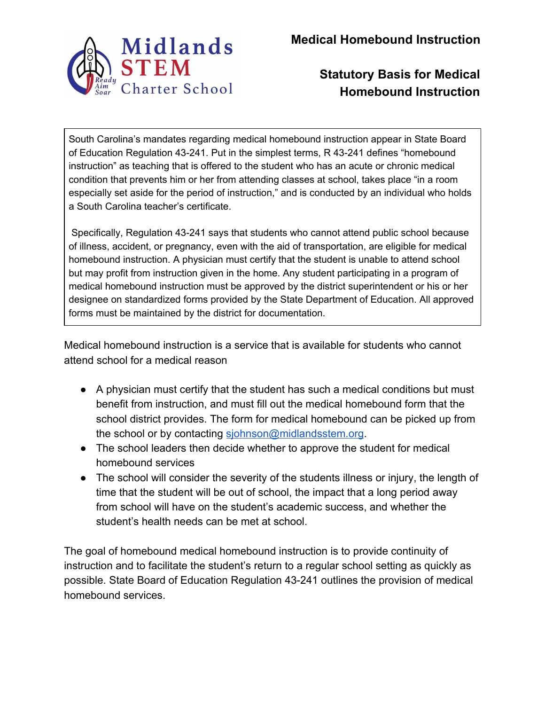

**Medical Homebound Instruction**

### **Statutory Basis for Medical Homebound Instruction**

South Carolina's mandates regarding medical homebound instruction appear in State Board of Education Regulation 43-241. Put in the simplest terms, R 43-241 defines "homebound instruction" as teaching that is offered to the student who has an acute or chronic medical condition that prevents him or her from attending classes at school, takes place "in a room especially set aside for the period of instruction," and is conducted by an individual who holds a South Carolina teacher's certificate.

Specifically, Regulation 43-241 says that students who cannot attend public school because of illness, accident, or pregnancy, even with the aid of transportation, are eligible for medical homebound instruction. A physician must certify that the student is unable to attend school but may profit from instruction given in the home. Any student participating in a program of medical homebound instruction must be approved by the district superintendent or his or her designee on standardized forms provided by the State Department of Education. All approved forms must be maintained by the district for documentation.

Medical homebound instruction is a service that is available for students who cannot attend school for a medical reason

- A physician must certify that the student has such a medical conditions but must benefit from instruction, and must fill out the medical homebound form that the school district provides. The form for medical homebound can be picked up from the school or by contacting [sjohnson@midlandsstem.org](mailto:sjohnson@midlandsstem.org).
- The school leaders then decide whether to approve the student for medical homebound services
- The school will consider the severity of the students illness or injury, the length of time that the student will be out of school, the impact that a long period away from school will have on the student's academic success, and whether the student's health needs can be met at school.

The goal of homebound medical homebound instruction is to provide continuity of instruction and to facilitate the student's return to a regular school setting as quickly as possible. State Board of Education Regulation 43-241 outlines the provision of medical homebound services.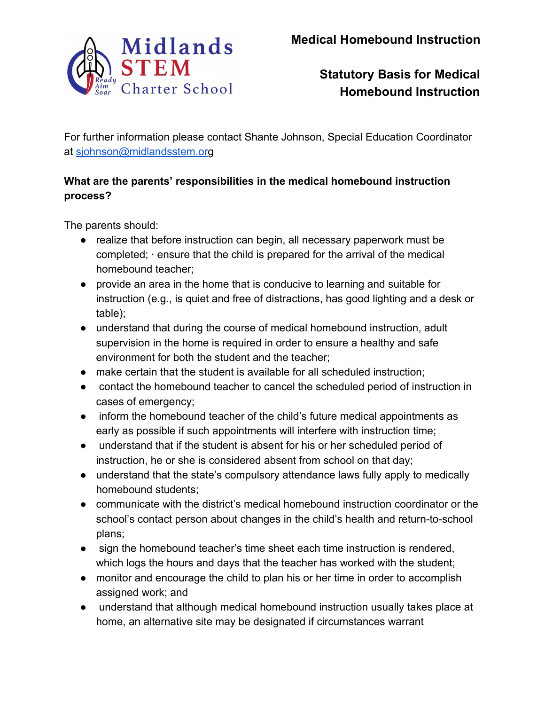

For further information please contact Shante Johnson, Special Education Coordinator at [sjohnson@midlandsstem.or](mailto:sjohnson@midlandsstem.org)g

#### **What are the parents' responsibilities in the medical homebound instruction process?**

The parents should:

- realize that before instruction can begin, all necessary paperwork must be completed; · ensure that the child is prepared for the arrival of the medical homebound teacher;
- provide an area in the home that is conducive to learning and suitable for instruction (e.g., is quiet and free of distractions, has good lighting and a desk or table);
- understand that during the course of medical homebound instruction, adult supervision in the home is required in order to ensure a healthy and safe environment for both the student and the teacher;
- make certain that the student is available for all scheduled instruction;
- contact the homebound teacher to cancel the scheduled period of instruction in cases of emergency;
- inform the homebound teacher of the child's future medical appointments as early as possible if such appointments will interfere with instruction time;
- understand that if the student is absent for his or her scheduled period of instruction, he or she is considered absent from school on that day;
- understand that the state's compulsory attendance laws fully apply to medically homebound students;
- communicate with the district's medical homebound instruction coordinator or the school's contact person about changes in the child's health and return-to-school plans;
- sign the homebound teacher's time sheet each time instruction is rendered, which logs the hours and days that the teacher has worked with the student;
- monitor and encourage the child to plan his or her time in order to accomplish assigned work; and
- understand that although medical homebound instruction usually takes place at home, an alternative site may be designated if circumstances warrant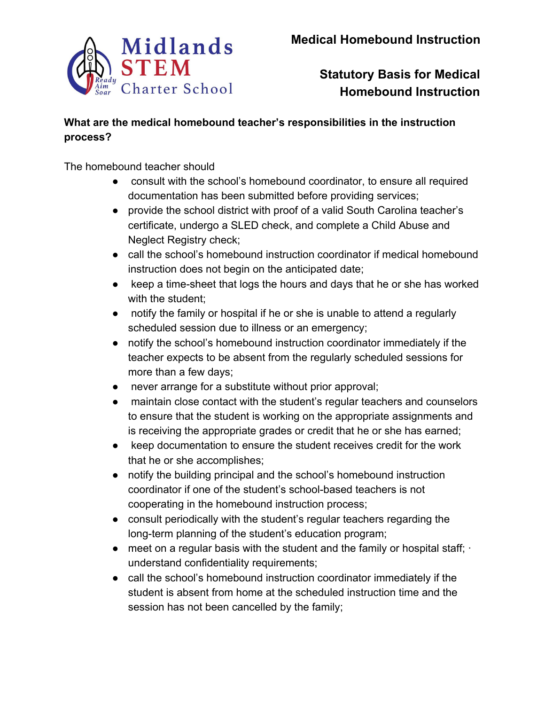

#### **What are the medical homebound teacher's responsibilities in the instruction process?**

The homebound teacher should

- consult with the school's homebound coordinator, to ensure all required documentation has been submitted before providing services;
- provide the school district with proof of a valid South Carolina teacher's certificate, undergo a SLED check, and complete a Child Abuse and Neglect Registry check;
- call the school's homebound instruction coordinator if medical homebound instruction does not begin on the anticipated date;
- keep a time-sheet that logs the hours and days that he or she has worked with the student;
- notify the family or hospital if he or she is unable to attend a regularly scheduled session due to illness or an emergency;
- notify the school's homebound instruction coordinator immediately if the teacher expects to be absent from the regularly scheduled sessions for more than a few days;
- never arrange for a substitute without prior approval;
- maintain close contact with the student's regular teachers and counselors to ensure that the student is working on the appropriate assignments and is receiving the appropriate grades or credit that he or she has earned;
- keep documentation to ensure the student receives credit for the work that he or she accomplishes;
- notify the building principal and the school's homebound instruction coordinator if one of the student's school-based teachers is not cooperating in the homebound instruction process;
- consult periodically with the student's regular teachers regarding the long-term planning of the student's education program;
- $\bullet$  meet on a regular basis with the student and the family or hospital staff;  $\cdot$ understand confidentiality requirements;
- call the school's homebound instruction coordinator immediately if the student is absent from home at the scheduled instruction time and the session has not been cancelled by the family;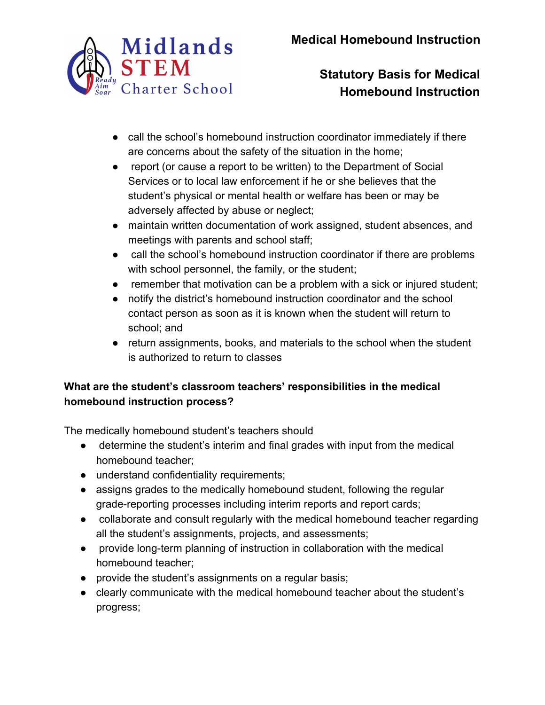

- call the school's homebound instruction coordinator immediately if there are concerns about the safety of the situation in the home;
- report (or cause a report to be written) to the Department of Social Services or to local law enforcement if he or she believes that the student's physical or mental health or welfare has been or may be adversely affected by abuse or neglect;
- maintain written documentation of work assigned, student absences, and meetings with parents and school staff;
- call the school's homebound instruction coordinator if there are problems with school personnel, the family, or the student;
- remember that motivation can be a problem with a sick or injured student;
- notify the district's homebound instruction coordinator and the school contact person as soon as it is known when the student will return to school; and
- return assignments, books, and materials to the school when the student is authorized to return to classes

#### **What are the student's classroom teachers' responsibilities in the medical homebound instruction process?**

The medically homebound student's teachers should

- determine the student's interim and final grades with input from the medical homebound teacher;
- understand confidentiality requirements;
- assigns grades to the medically homebound student, following the regular grade-reporting processes including interim reports and report cards;
- collaborate and consult regularly with the medical homebound teacher regarding all the student's assignments, projects, and assessments;
- provide long-term planning of instruction in collaboration with the medical homebound teacher;
- provide the student's assignments on a regular basis;
- clearly communicate with the medical homebound teacher about the student's progress;